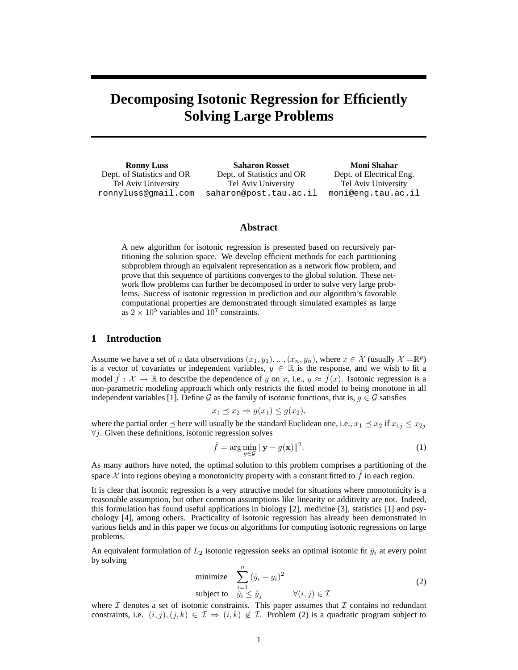# **Decomposing Isotonic Regression for Efficiently Solving Large Problems**

**Ronny Luss** Dept. of Statistics and OR Tel Aviv University ronnyluss@gmail.com

**Saharon Rosset** Dept. of Statistics and OR Tel Aviv University saharon@post.tau.ac.il

**Moni Shahar** Dept. of Electrical Eng. Tel Aviv University moni@eng.tau.ac.il

## **Abstract**

A new algorithm for isotonic regression is presented based on recursively partitioning the solution space. We develop efficient methods for each partitioning subproblem through an equivalent representation as a network flow problem, and prove that this sequence of partitions converges to the global solution. These network flow problems can further be decomposed in order to solve very large problems. Success of isotonic regression in prediction and our algorithm's favorable computational properties are demonstrated through simulated examples as large as  $2 \times 10^5$  variables and  $10^7$  constraints.

## **1 Introduction**

Assume we have a set of *n* data observations  $(x_1, y_1), ..., (x_n, y_n)$ , where  $x \in \mathcal{X}$  (usually  $\mathcal{X} = \mathbb{R}^p$ ) is a vector of covariates or independent variables,  $y \in \mathbb{R}$  is the response, and we wish to fit a model  $\hat{f}: \mathcal{X} \to \mathbb{R}$  to describe the dependence of y on x, i.e.,  $y \approx \hat{f}(x)$ . Isotonic regression is a non-parametric modeling approach which only restricts the fitted model to being monotone in all independent variables [1]. Define G as the family of isotonic functions, that is,  $g \in \mathcal{G}$  satisfies

$$
x_1 \preceq x_2 \Rightarrow g(x_1) \le g(x_2),
$$

where the partial order  $\preceq$  here will usually be the standard Euclidean one, i.e.,  $x_1 \preceq x_2$  if  $x_{1j} \leq x_{2j}$  $\forall j$ . Given these definitions, isotonic regression solves

$$
\hat{f} = \underset{g \in \mathcal{G}}{\arg \min} \|\mathbf{y} - g(\mathbf{x})\|^2. \tag{1}
$$

As many authors have noted, the optimal solution to this problem comprises a partitioning of the space  $\mathcal X$  into regions obeying a monotonicity property with a constant fitted to  $f$  in each region.

It is clear that isotonic regression is a very attractive model for situations where monotonicity is a reasonable assumption, but other common assumptions like linearity or additivity are not. Indeed, this formulation has found useful applications in biology [2], medicine [3], statistics [1] and psychology [4], among others. Practicality of isotonic regression has already been demonstrated in various fields and in this paper we focus on algorithms for computing isotonic regressions on large problems.

An equivalent formulation of  $L_2$  isotonic regression seeks an optimal isotonic fit  $\hat{y}_i$  at every point by solving

minimize 
$$
\sum_{i=1}^{n} (\hat{y}_i - y_i)^2
$$
  
subject to 
$$
\hat{y}_i \leq \hat{y}_j \qquad \forall (i, j) \in \mathcal{I}
$$
 (2)

where  $\mathcal I$  denotes a set of isotonic constraints. This paper assumes that  $\mathcal I$  contains no redundant constraints, i.e.  $(i, j), (j, k) \in \mathcal{I} \Rightarrow (i, k) \notin \mathcal{I}$ . Problem (2) is a quadratic program subject to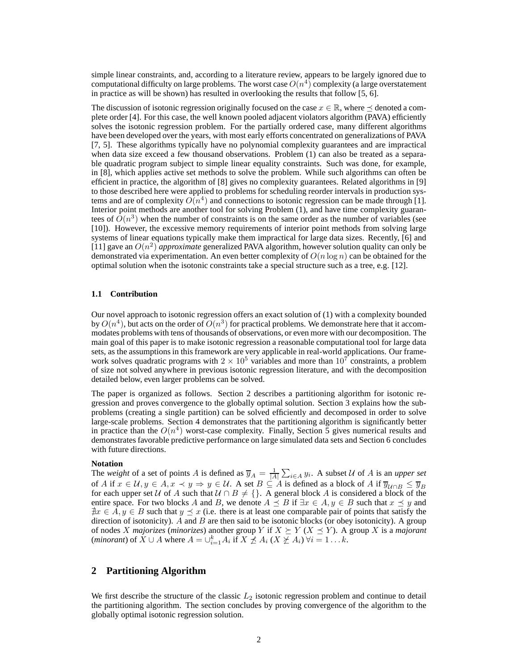simple linear constraints, and, according to a literature review, appears to be largely ignored due to computational difficulty on large problems. The worst case  $O(n^4)$  complexity (a large overstatement in practice as will be shown) has resulted in overlooking the results that follow [5, 6].

The discussion of isotonic regression originally focused on the case  $x \in \mathbb{R}$ , where  $\preceq$  denoted a complete order [4]. For this case, the well known pooled adjacent violators algorithm (PAVA) efficiently solves the isotonic regression problem. For the partially ordered case, many different algorithms have been developed over the years, with most early efforts concentrated on generalizations of PAVA [7, 5]. These algorithms typically have no polynomial complexity guarantees and are impractical when data size exceed a few thousand observations. Problem (1) can also be treated as a separable quadratic program subject to simple linear equality constraints. Such was done, for example, in [8], which applies active set methods to solve the problem. While such algorithms can often be efficient in practice, the algorithm of [8] gives no complexity guarantees. Related algorithms in [9] to those described here were applied to problems for scheduling reorder intervals in production systems and are of complexity  $O(n^4)$  and connections to isotonic regression can be made through [1]. Interior point methods are another tool for solving Problem (1), and have time complexity guarantees of  $\tilde{O}(n^3)$  when the number of constraints is on the same order as the number of variables (see [10]). However, the excessive memory requirements of interior point methods from solving large systems of linear equations typically make them impractical for large data sizes. Recently, [6] and [11] gave an  $O(n^2)$  *approximate* generalized PAVA algorithm, however solution quality can only be demonstrated via experimentation. An even better complexity of  $O(n \log n)$  can be obtained for the optimal solution when the isotonic constraints take a special structure such as a tree, e.g. [12].

#### **1.1 Contribution**

Our novel approach to isotonic regression offers an exact solution of (1) with a complexity bounded by  $O(n^4)$ , but acts on the order of  $O(n^3)$  for practical problems. We demonstrate here that it accommodates problems with tens of thousands of observations, or even more with our decomposition. The main goal of this paper is to make isotonic regression a reasonable computational tool for large data sets, as the assumptions in this framework are very applicable in real-world applications. Our framework solves quadratic programs with  $2 \times 10^5$  variables and more than  $10^7$  constraints, a problem of size not solved anywhere in previous isotonic regression literature, and with the decomposition detailed below, even larger problems can be solved.

The paper is organized as follows. Section 2 describes a partitioning algorithm for isotonic regression and proves convergence to the globally optimal solution. Section 3 explains how the subproblems (creating a single partition) can be solved efficiently and decomposed in order to solve large-scale problems. Section 4 demonstrates that the partitioning algorithm is significantly better in practice than the  $O(n^4)$  worst-case complexity. Finally, Section 5 gives numerical results and demonstrates favorable predictive performance on large simulated data sets and Section 6 concludes with future directions.

#### **Notation**

The *weight* of a set of points A is defined as  $\overline{y}_A = \frac{1}{|A|} \sum_{i \in A} y_i$ . A subset U of A is an *upper set* of A if  $x \in \mathcal{U}, y \in A, x \prec y \Rightarrow y \in \mathcal{U}$ . A set  $B \subseteq A$  is defined as a block of A if  $\overline{y}_{\mathcal{U} \cap B} \leq \overline{y}_B$ for each upper set U of A such that  $U \cap B \neq \{\}$ . A general block A is considered a block of the entire space. For two blocks A and B, we denote  $A \preceq B$  if  $\exists x \in A, y \in B$  such that  $x \preceq y$  and  $\exists x \in A, y \in B$  such that  $y \preceq x$  (i.e. there is at least one comparable pair of points that satisfy the direction of isotonicity).  $A$  and  $B$  are then said to be isotonic blocks (or obey isotonicity). A group of nodes X *majorizes* (*minorizes*) another group Y if  $X \succeq Y$  ( $X \preceq Y$ ). A group X is a *majorant* (*minorant*) of  $\overline{X} \cup A$  where  $A = \bigcup_{i=1}^{k} A_i$  if  $X \not\preceq A_i$  ( $X \not\preceq A_i$ )  $\forall i = 1 \dots k$ .

# **2 Partitioning Algorithm**

We first describe the structure of the classic  $L_2$  isotonic regression problem and continue to detail the partitioning algorithm. The section concludes by proving convergence of the algorithm to the globally optimal isotonic regression solution.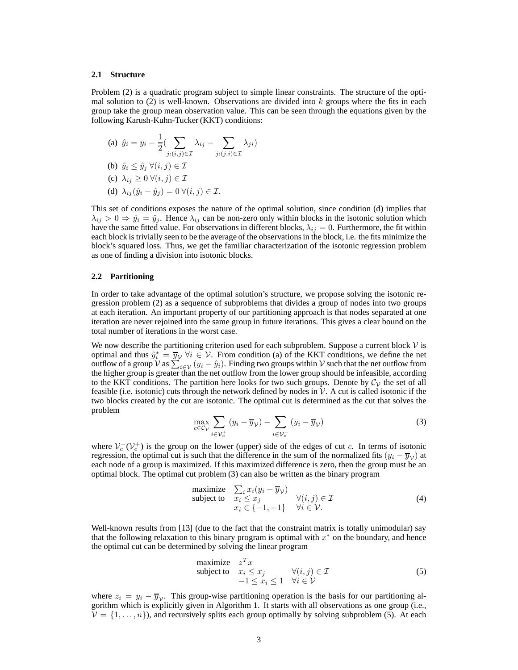#### **2.1 Structure**

Problem (2) is a quadratic program subject to simple linear constraints. The structure of the optimal solution to  $(2)$  is well-known. Observations are divided into k groups where the fits in each group take the group mean observation value. This can be seen through the equations given by the following Karush-Kuhn-Tucker (KKT) conditions:

(a) 
$$
\hat{y}_i = y_i - \frac{1}{2} \left( \sum_{j:(i,j) \in \mathcal{I}} \lambda_{ij} - \sum_{j:(j,i) \in \mathcal{I}} \lambda_{ji} \right)
$$
  
\n(b)  $\hat{y}_i \leq \hat{y}_j \ \forall (i,j) \in \mathcal{I}$   
\n(c)  $\lambda_{ij} \geq 0 \ \forall (i,j) \in \mathcal{I}$   
\n(d)  $\lambda_{ij}(\hat{y}_i - \hat{y}_j) = 0 \ \forall (i,j) \in \mathcal{I}$ .

This set of conditions exposes the nature of the optimal solution, since condition (d) implies that  $\lambda_{ij} > 0 \Rightarrow \hat{y}_i = \hat{y}_j$ . Hence  $\lambda_{ij}$  can be non-zero only within blocks in the isotonic solution which have the same fitted value. For observations in different blocks,  $\lambda_{ij} = 0$ . Furthermore, the fit within each block is trivially seen to be the average of the observations in the block, i.e. the fits minimize the block's squared loss. Thus, we get the familiar characterization of the isotonic regression problem as one of finding a division into isotonic blocks.

#### **2.2 Partitioning**

In order to take advantage of the optimal solution's structure, we propose solving the isotonic regression problem (2) as a sequence of subproblems that divides a group of nodes into two groups at each iteration. An important property of our partitioning approach is that nodes separated at one iteration are never rejoined into the same group in future iterations. This gives a clear bound on the total number of iterations in the worst case.

We now describe the partitioning criterion used for each subproblem. Suppose a current block  $\mathcal V$  is optimal and thus  $\hat{y}_i^* = \overline{y}_v \ \forall i \in \mathcal{V}$ . From condition (a) of the KKT conditions, we define the net outflow of a group V as  $\sum_{i \in \mathcal{V}} (y_i - \hat{y}_i)$ . Finding two groups within V such that the net outflow from the higher group is greater than the net outflow from the lower group should be infeasible, according to the KKT conditions. The partition here looks for two such groups. Denote by  $\mathcal{C}_{\mathcal{V}}$  the set of all feasible (i.e. isotonic) cuts through the network defined by nodes in  $\mathcal V$ . A cut is called isotonic if the two blocks created by the cut are isotonic. The optimal cut is determined as the cut that solves the problem

$$
\max_{c \in \mathcal{C}_{\mathcal{V}}} \sum_{i \in \mathcal{V}_c^+} (y_i - \overline{y}_{\mathcal{V}}) - \sum_{i \in \mathcal{V}_c^-} (y_i - \overline{y}_{\mathcal{V}}) \tag{3}
$$

where  $V_c^-(V_c^+)$  is the group on the lower (upper) side of the edges of cut c. In terms of isotonic regression, the optimal cut is such that the difference in the sum of the normalized fits  $(y_i - \overline{y}_V)$  at each node of a group is maximized. If this maximized difference is zero, then the group must be an optimal block. The optimal cut problem (3) can also be written as the binary program

maximize 
$$
\sum_{i} x_i (y_i - \overline{y}_V)
$$
  
\nsubject to  $x_i \leq x_j$   
\n $x_i \in \{-1, +1\}$   $\forall (i, j) \in \mathcal{I}$   
\n $\forall i \in \mathcal{V}.$  (4)

Well-known results from [13] (due to the fact that the constraint matrix is totally unimodular) say that the following relaxation to this binary program is optimal with  $x^*$  on the boundary, and hence the optimal cut can be determined by solving the linear program

maximize 
$$
z^T x
$$
  
\nsubject to  $x_i \le x_j$   $\forall (i, j) \in \mathcal{I}$   
\n $-1 \le x_i \le 1 \quad \forall i \in \mathcal{V}$  (5)

where  $z_i = y_i - \overline{y}_y$ . This group-wise partitioning operation is the basis for our partitioning algorithm which is explicitly given in Algorithm 1. It starts with all observations as one group (i.e.,  $V = \{1, \ldots, n\}$ , and recursively splits each group optimally by solving subproblem (5). At each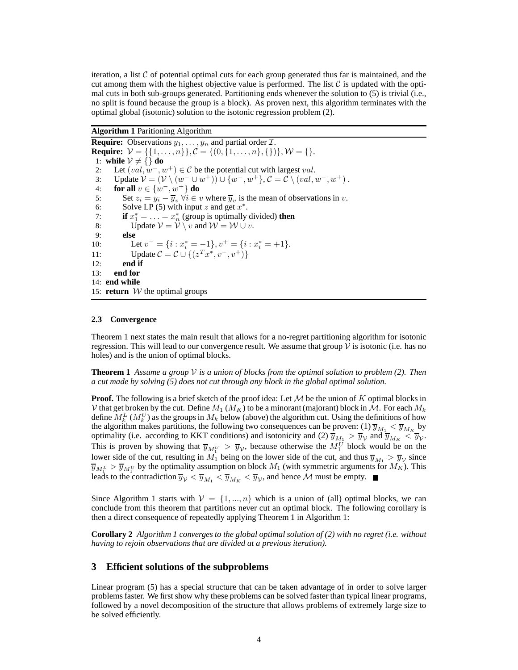iteration, a list  $C$  of potential optimal cuts for each group generated thus far is maintained, and the cut among them with the highest objective value is performed. The list  $\mathcal C$  is updated with the optimal cuts in both sub-groups generated. Partitioning ends whenever the solution to (5) is trivial (i.e., no split is found because the group is a block). As proven next, this algorithm terminates with the optimal global (isotonic) solution to the isotonic regression problem (2).

**Algorithm 1** Paritioning Algorithm

**Require:** Observations  $y_1, \ldots, y_n$  and partial order  $\mathcal{I}$ . **Require:**  $V = \{\{1, ..., n\}, C = \{(0, \{1, ..., n\}, \{\})\}, W = \{\}.$ 1: **while**  $V \neq \{\}$  **do** 2: Let  $(val, w^-, w^+) \in \mathcal{C}$  be the potential cut with largest val. 3: Update  $V = (V \setminus (w^- \cup w^+)) \cup \{w^-, w^+\}, C = C \setminus (val, w^-, w^+)$ . 4: **for all**  $v \in \{w^-, w^+\}$  **do** 5: Set  $z_i = y_i - \overline{y}_v \ \forall i \in v$  where  $\overline{y}_v$  is the mean of observations in v. 6: Solve LP (5) with input z and get  $x^*$ . 7: **if**  $x_1^* = \ldots = x_n^*$  (group is optimally divided) **then** 8: Update  $V = V \setminus v$  and  $W = W \cup v$ . 9: **else** 10: Let  $v^- = \{i : x^*_i = -1\}, v^+ = \{i : x^*_i = +1\}.$ 11: Update  $C = C \cup \{(z^T x^*, v^-, v^+)\}$ 12: **end if** 13: **end for** 14: **end while** 15: **return**  $W$  the optimal groups

### **2.3 Convergence**

Theorem 1 next states the main result that allows for a no-regret partitioning algorithm for isotonic regression. This will lead to our convergence result. We assume that group  $\mathcal V$  is isotonic (i.e. has no holes) and is the union of optimal blocks.

**Theorem 1** Assume a group  $V$  is a union of blocks from the optimal solution to problem (2). Then *a cut made by solving (5) does not cut through any block in the global optimal solution.*

**Proof.** The following is a brief sketch of the proof idea: Let  $M$  be the union of  $K$  optimal blocks in V that get broken by the cut. Define  $M_1$  ( $M_K$ ) to be a minorant (majorant) block in M. For each  $M_k$ define  $M_k^L(M_k^U)$  as the groups in  $M_k$  below (above) the algorithm cut. Using the definitions of how the algorithm makes partitions, the following two consequences can be proven: (1)  $\overline{y}_{M_1} < \overline{y}_{M_K}$  by the algorithm makes partitions, the following two consequences can be proven: (1)  $\overline{y}_{M_1} < \overline{y}_{M_K}$ optimality (i.e. according to KKT conditions) and isotonicity and (2)  $\overline{y}_{M_1} > \overline{y}_{V}$  and  $\overline{y}_{M_K} < \overline{y}_{V}$ . This is proven by showing that  $\overline{y}_{M_1^U} > \overline{y}_V$ , because otherwise the  $M_1^U$  block would be on the lower side of the cut, resulting in  $M_1$  being on the lower side of the cut, and thus  $\overline{y}_{M_1} > \overline{y}_{V}$  since  $\overline{y}_{M_1^L} > \overline{y}_{M_1^U}$  by the optimality assumption on block  $M_1$  (with symmetric arguments for  $M_K$ ). This leads to the contradiction  $\overline{y}_V < \overline{y}_{M_1} < \overline{y}_{M_K} < \overline{y}_V$ , and hence M must be empty.

Since Algorithm 1 starts with  $V = \{1, ..., n\}$  which is a union of (all) optimal blocks, we can conclude from this theorem that partitions never cut an optimal block. The following corollary is then a direct consequence of repeatedly applying Theorem 1 in Algorithm 1:

**Corollary 2** *Algorithm 1 converges to the global optimal solution of (2) with no regret (i.e. without having to rejoin observations that are divided at a previous iteration).*

## **3 Efficient solutions of the subproblems**

Linear program (5) has a special structure that can be taken advantage of in order to solve larger problems faster. We first show why these problems can be solved faster than typical linear programs, followed by a novel decomposition of the structure that allows problems of extremely large size to be solved efficiently.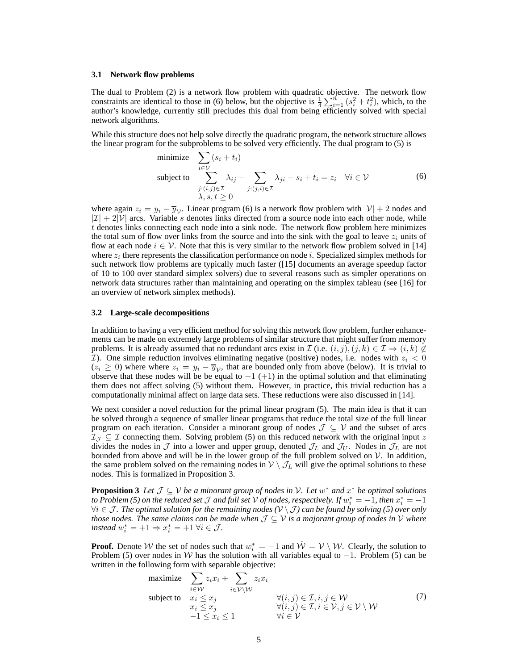#### **3.1 Network flow problems**

The dual to Problem (2) is a network flow problem with quadratic objective. The network flow constraints are identical to those in (6) below, but the objective is  $\frac{1}{4} \sum_{i=1}^{n} (s_i^2 + t_i^2)$ , which, to the author's knowledge, currently still precludes this dual from being efficiently solved with special network algorithms.

While this structure does not help solve directly the quadratic program, the network structure allows the linear program for the subproblems to be solved very efficiently. The dual program to (5) is

minimize 
$$
\sum_{i \in \mathcal{V}} (s_i + t_i)
$$
  
\nsubject to 
$$
\sum_{j:(i,j) \in \mathcal{I}} \lambda_{ij} - \sum_{j:(j,i) \in \mathcal{I}} \lambda_{ji} - s_i + t_i = z_i \quad \forall i \in \mathcal{V}
$$
  
\n
$$
\lambda, s, t \ge 0
$$
\n(6)

where again  $z_i = y_i - \overline{y}_{\mathcal{V}}$ . Linear program (6) is a network flow problem with  $|\mathcal{V}| + 2$  nodes and  $|I| + 2|V|$  arcs. Variable s denotes links directed from a source node into each other node, while t denotes links connecting each node into a sink node. The network flow problem here minimizes the total sum of flow over links from the source and into the sink with the goal to leave  $z_i$  units of flow at each node  $i \in V$ . Note that this is very similar to the network flow problem solved in [14] where  $z_i$  there represents the classification performance on node i. Specialized simplex methods for such network flow problems are typically much faster ([15] documents an average speedup factor of 10 to 100 over standard simplex solvers) due to several reasons such as simpler operations on network data structures rather than maintaining and operating on the simplex tableau (see [16] for an overview of network simplex methods).

#### **3.2 Large-scale decompositions**

In addition to having a very efficient method for solving this network flow problem, further enhancements can be made on extremely large problems of similar structure that might suffer from memory problems. It is already assumed that no redundant arcs exist in  $\mathcal I$  (i.e.  $(i, j), (j, k) \in \mathcal I \Rightarrow (i, k) \notin$ *T*). One simple reduction involves eliminating negative (positive) nodes, i.e. nodes with  $z_i < 0$  $(z_i \geq 0)$  where where  $z_i = y_i - \overline{y}_{\mathcal{V}}$ , that are bounded only from above (below). It is trivial to observe that these nodes will be be equal to  $-1$  (+1) in the optimal solution and that eliminating them does not affect solving (5) without them. However, in practice, this trivial reduction has a computationally minimal affect on large data sets. These reductions were also discussed in [14].

We next consider a novel reduction for the primal linear program (5). The main idea is that it can be solved through a sequence of smaller linear programs that reduce the total size of the full linear program on each iteration. Consider a minorant group of nodes  $\mathcal{J} \subseteq \mathcal{V}$  and the subset of arcs  $\mathcal{I}_{\mathcal{J}} \subseteq \mathcal{I}$  connecting them. Solving problem (5) on this reduced network with the original input z divides the nodes in  $\mathcal J$  into a lower and upper group, denoted  $\mathcal J_L$  and  $\mathcal J_U$ . Nodes in  $\mathcal J_L$  are not bounded from above and will be in the lower group of the full problem solved on  $V$ . In addition, the same problem solved on the remaining nodes in  $V \setminus \mathcal{J}_L$  will give the optimal solutions to these nodes. This is formalized in Proposition 3.

**Proposition 3** *Let*  $\mathcal{J} \subseteq \mathcal{V}$  *be a minorant group of nodes in*  $\mathcal{V}$ *. Let*  $w^*$  *and*  $x^*$  *be optimal solutions* to Problem (5) on the reduced set  $J$  and full set  $V$  of nodes, respectively. If  $w_i^*=-1$ , then  $x_i^*=-1$ ∀i ∈ J *. The optimal solution for the remaining nodes (*V \ J *) can be found by solving (5) over only those nodes. The same claims can be made when*  $J \subseteq V$  *is a majorant group of nodes in*  $V$  *where*  $\text{instead } w_i^* = +1 \Rightarrow x_i^* = +1 \; \forall i \in \mathcal{J}.$ 

**Proof.** Denote W the set of nodes such that  $w_i^* = -1$  and  $\hat{W} = V \setminus W$ . Clearly, the solution to Problem (5) over nodes in W has the solution with all variables equal to  $-1$ . Problem (5) can be written in the following form with separable objective:

maximize 
$$
\sum_{i \in \mathcal{W}} z_i x_i + \sum_{i \in \mathcal{V} \setminus \mathcal{W}} z_i x_i
$$
  
\nsubject to 
$$
\begin{array}{ll}\n x_i \leq x_j & \forall (i, j) \in \mathcal{I}, i, j \in \mathcal{W} \\
x_i \leq x_j & \forall (i, j) \in \mathcal{I}, i \in \mathcal{V}, j \in \mathcal{V} \setminus \mathcal{W} \\
-1 \leq x_i \leq 1 & \forall i \in \mathcal{V}\n\end{array}
$$
\n(7)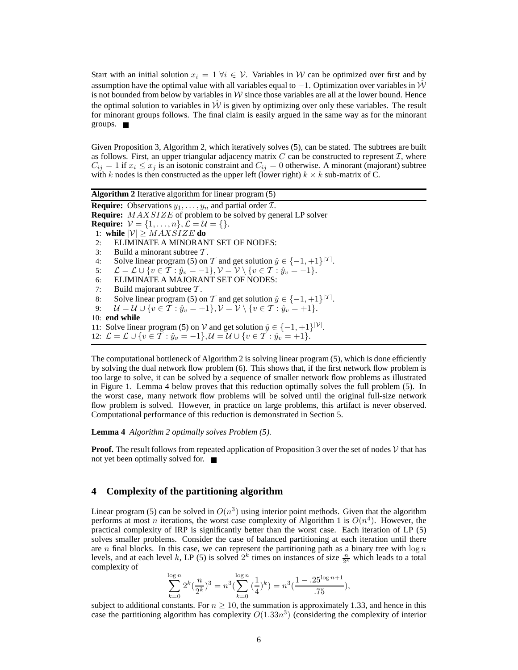Start with an initial solution  $x_i = 1 \forall i \in \mathcal{V}$ . Variables in W can be optimized over first and by assumption have the optimal value with all variables equal to  $-1$ . Optimization over variables in  $\hat{W}$ is not bounded from below by variables in  $W$  since those variables are all at the lower bound. Hence the optimal solution to variables in  $W$  is given by optimizing over only these variables. The result for minorant groups follows. The final claim is easily argued in the same way as for the minorant groups.

Given Proposition 3, Algorithm 2, which iteratively solves (5), can be stated. The subtrees are built as follows. First, an upper triangular adjacency matrix  $C$  can be constructed to represent  $\mathcal{I}$ , where  $C_{ij} = 1$  if  $x_i \leq x_j$  is an isotonic constraint and  $C_{ij} = 0$  otherwise. A minorant (majorant) subtree with k nodes is then constructed as the upper left (lower right)  $k \times k$  sub-matrix of C.

**Algorithm 2** Iterative algorithm for linear program (5) **Require:** Observations  $y_1, \ldots, y_n$  and partial order  $\mathcal{I}$ . **Require:** MAXSIZE of problem to be solved by general LP solver **Require:**  $V = \{1, ..., n\}, \mathcal{L} = \mathcal{U} = \{\}.$ 1: **while**  $|\mathcal{V}| \geq MAXSIZE$  **do** 2: ELIMINATE A MINORANT SET OF NODES: 3: Build a minorant subtree  $\mathcal{T}$ . 4: Solve linear program (5) on T and get solution  $\hat{y} \in \{-1, +1\}^{|\mathcal{T}|}$ . 5:  $\mathcal{L} = \mathcal{L} \cup \{v \in \mathcal{T} : \hat{y}_v = -1\}, \mathcal{V} = \mathcal{V} \setminus \{v \in \mathcal{T} : \hat{y}_v = -1\}.$ 6: ELIMINATE A MAJORANT SET OF NODES: 7: Build majorant subtree  $T$ . 8: Solve linear program (5) on T and get solution  $\hat{y} \in \{-1, +1\}^{|\mathcal{T}|}$ . 9:  $\mathcal{U} = \mathcal{U} \cup \{v \in \mathcal{T} : \hat{y}_v = +1\}, \mathcal{V} = \mathcal{V} \setminus \{v \in \mathcal{T} : \hat{y}_v = +1\}.$ 10: **end while** 11: Solve linear program (5) on V and get solution  $\hat{y} \in \{-1, +1\}^{|\mathcal{V}|}$ . 12:  $\mathcal{L} = \mathcal{L} \cup \{v \in \mathcal{T} : \hat{y}_v = -1\}, \mathcal{U} = \mathcal{U} \cup \{v \in \mathcal{T} : \hat{y}_v = +1\}.$ 

The computational bottleneck of Algorithm 2 is solving linear program (5), which is done efficiently by solving the dual network flow problem (6). This shows that, if the first network flow problem is too large to solve, it can be solved by a sequence of smaller network flow problems as illustrated in Figure 1. Lemma 4 below proves that this reduction optimally solves the full problem (5). In the worst case, many network flow problems will be solved until the original full-size network flow problem is solved. However, in practice on large problems, this artifact is never observed. Computational performance of this reduction is demonstrated in Section 5.

**Lemma 4** *Algorithm 2 optimally solves Problem (5).*

**Proof.** The result follows from repeated application of Proposition 3 over the set of nodes  $V$  that has not yet been optimally solved for.

## **4 Complexity of the partitioning algorithm**

Linear program (5) can be solved in  $O(n^3)$  using interior point methods. Given that the algorithm performs at most *n* iterations, the worst case complexity of Algorithm 1 is  $O(n^4)$ . However, the practical complexity of IRP is significantly better than the worst case. Each iteration of LP (5) solves smaller problems. Consider the case of balanced partitioning at each iteration until there are n final blocks. In this case, we can represent the partitioning path as a binary tree with  $\log n$ levels, and at each level k, LP (5) is solved  $2^k$  times on instances of size  $\frac{n}{2^k}$  which leads to a total complexity of

$$
\sum_{k=0}^{\log n} 2^k (\frac{n}{2^k})^3 = n^3 (\sum_{k=0}^{\log n} (\frac{1}{4})^k) = n^3 (\frac{1 - .25^{\log n + 1}}{.75}),
$$

subject to additional constants. For  $n \geq 10$ , the summation is approximately 1.33, and hence in this case the partitioning algorithm has complexity  $O(1.33n^3)$  (considering the complexity of interior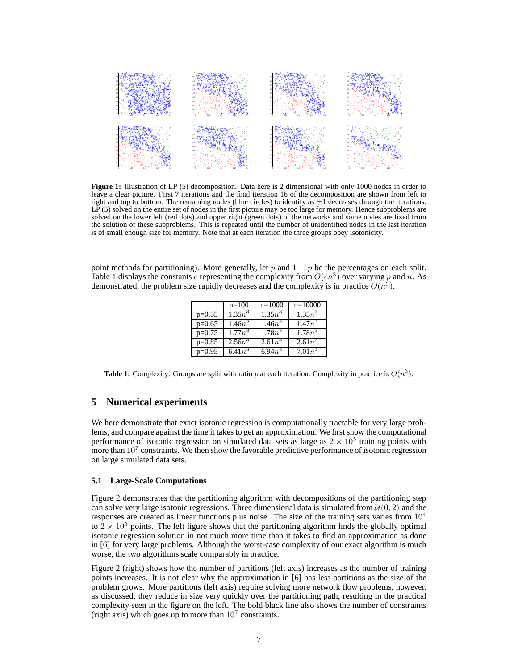

**Figure 1:** Illustration of LP (5) decomposition. Data here is 2 dimensional with only 1000 nodes in order to leave a clear picture. First 7 iterations and the final iteration 16 of the decomposition are shown from left to right and top to bottom. The remaining nodes (blue circles) to identify as  $\pm 1$  decreases through the iterations. LP (5) solved on the entire set of nodes in the first picture may be too large for memory. Hence subproblems are solved on the lower left (red dots) and upper right (green dots) of the networks and some nodes are fixed from the solution of these subproblems. This is repeated until the number of unidentified nodes in the last iteration is of small enough size for memory. Note that at each iteration the three groups obey isotonicity.

point methods for partitioning). More generally, let p and  $1 - p$  be the percentages on each split. Table 1 displays the constants c representing the complexity from  $O(cn^3)$  over varying p and n. As demonstrated, the problem size rapidly decreases and the complexity is in practice  $O(n^3)$ .

|          | $n=100$    | $n=1000$             | $n=10000$ |
|----------|------------|----------------------|-----------|
| $p=0.55$ | $1.35n^3$  | $1.\overline{35n^3}$ | $1.35n^3$ |
| $p=0.65$ | $1.46n^3$  | $1.46n^3$            | $1.47n^3$ |
| $p=0.75$ | $1.77n^3$  | $1.78n^3$            | $1.78n^3$ |
| $p=0.85$ | $2.56n^3$  | $2.61n^3$            | $2.61n^3$ |
| $p=0.95$ | 6.41 $n^3$ | $6.94n^3$            | $7.01n^3$ |

**Table 1:** Complexity: Groups are split with ratio p at each iteration. Complexity in practice is  $O(n^3)$ .

# **5 Numerical experiments**

We here demonstrate that exact isotonic regression is computationally tractable for very large problems, and compare against the time it takes to get an approximation. We first show the computational performance of isotonic regression on simulated data sets as large as  $2 \times 10^5$  training points with more than  $10^7$  constraints. We then show the favorable predictive performance of isotonic regression on large simulated data sets.

#### **5.1 Large-Scale Computations**

Figure 2 demonstrates that the partitioning algorithm with decompositions of the partitioning step can solve very large isotonic regressions. Three dimensional data is simulated from  $\mathcal{U}(0, 2)$  and the responses are created as linear functions plus noise. The size of the training sets varies from  $10<sup>4</sup>$ to  $2 \times 10^5$  points. The left figure shows that the partitioning algorithm finds the globally optimal isotonic regression solution in not much more time than it takes to find an approximation as done in [6] for very large problems. Although the worst-case complexity of our exact algorithm is much worse, the two algorithms scale comparably in practice.

Figure 2 (right) shows how the number of partitions (left axis) increases as the number of training points increases. It is not clear why the approximation in [6] has less partitions as the size of the problem grows. More partitions (left axis) require solving more network flow problems, however, as discussed, they reduce in size very quickly over the partitioning path, resulting in the practical complexity seen in the figure on the left. The bold black line also shows the number of constraints (right axis) which goes up to more than  $10<sup>7</sup>$  constraints.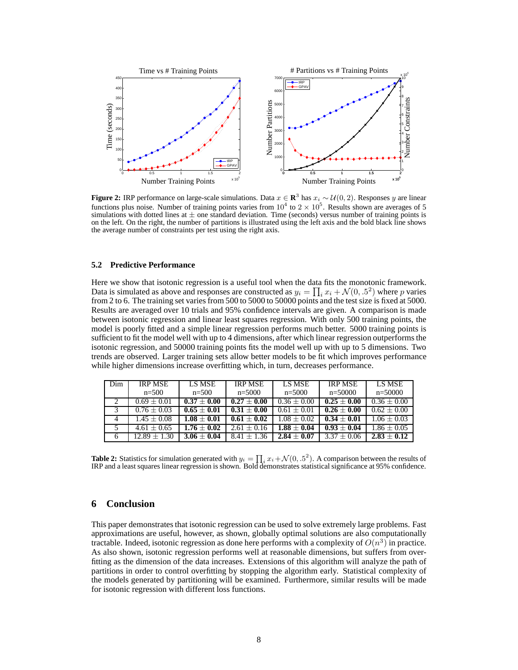

**Figure 2:** IRP performance on large-scale simulations. Data  $x \in \mathbb{R}^3$  has  $x_i \sim \mathcal{U}(0, 2)$ . Responses y are linear functions plus noise. Number of training points varies from  $10^4$  to  $2 \times 10^5$ . Results shown are averages of 5 simulations with dotted lines at  $\pm$  one standard deviation. Time (seconds) versus number of training points is on the left. On the right, the number of partitions is illustrated using the left axis and the bold black line shows the average number of constraints per test using the right axis.

#### **5.2 Predictive Performance**

Here we show that isotonic regression is a useful tool when the data fits the monotonic framework. Data is simulated as above and responses are constructed as  $y_i = \prod_i x_i + \mathcal{N}(0, .5^2)$  where p varies from 2 to 6. The training set varies from 500 to 5000 to 50000 points and the test size is fixed at 5000. Results are averaged over 10 trials and 95% confidence intervals are given. A comparison is made between isotonic regression and linear least squares regression. With only 500 training points, the model is poorly fitted and a simple linear regression performs much better. 5000 training points is sufficient to fit the model well with up to 4 dimensions, after which linear regression outperforms the isotonic regression, and 50000 training points fits the model well up with up to 5 dimensions. Two trends are observed. Larger training sets allow better models to be fit which improves performance while higher dimensions increase overfitting which, in turn, decreases performance.

| Dim | <b>IRP MSE</b> | LS MSE        | <b>IRP MSE</b> | LS MSE        | <b>IRP MSE</b> | LS MSE        |
|-----|----------------|---------------|----------------|---------------|----------------|---------------|
|     | $n = 500$      | $n = 500$     | $n = 5000$     | $n = 5000$    | $n=50000$      | $n=50000$     |
|     | $0.69 + 0.01$  | $0.37 + 0.00$ | $0.27 + 0.00$  | $0.36 + 0.00$ | $0.25 + 0.00$  | $0.36 + 0.00$ |
|     | $0.76 + 0.03$  | $0.65 + 0.01$ | $0.31 + 0.00$  | $0.61 + 0.01$ | $0.26 + 0.00$  | $0.62 + 0.00$ |
| 4   | $1.45 + 0.08$  | $1.08 + 0.01$ | $0.61 + 0.02$  | $1.08 + 0.02$ | $0.34 + 0.01$  | $1.06 + 0.03$ |
|     | $4.61 + 0.65$  | $1.76 + 0.02$ | $2.61 + 0.16$  | $1.88 + 0.04$ | $0.93 + 0.04$  | $1.86 + 0.05$ |
| 6   | $12.89 + 1.30$ | $3.06 + 0.04$ | $8.41 + 1.36$  | $2.84 + 0.07$ | $3.37 + 0.06$  | $2.83 + 0.12$ |

**Table 2:** Statistics for simulation generated with  $y_i = \prod_i x_i + \mathcal{N}(0, .5^2)$ . A comparison between the results of IRP and a least squares linear regression is shown. Bold demonstrates statistical significance at 95% confidence.

# **6 Conclusion**

This paper demonstrates that isotonic regression can be used to solve extremely large problems. Fast approximations are useful, however, as shown, globally optimal solutions are also computationally tractable. Indeed, isotonic regression as done here performs with a complexity of  $O(n^3)$  in practice. As also shown, isotonic regression performs well at reasonable dimensions, but suffers from overfitting as the dimension of the data increases. Extensions of this algorithm will analyze the path of partitions in order to control overfitting by stopping the algorithm early. Statistical complexity of the models generated by partitioning will be examined. Furthermore, similar results will be made for isotonic regression with different loss functions.